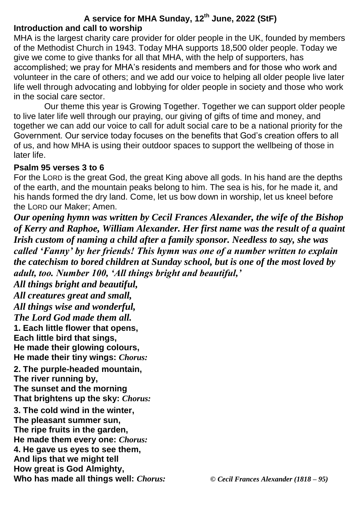# **A service for MHA Sunday, 12th June, 2022 (StF) Introduction and call to worship**

MHA is the largest charity care provider for older people in the UK, founded by members of the Methodist Church in 1943. Today MHA supports 18,500 older people. Today we give we come to give thanks for all that MHA, with the help of supporters, has accomplished; we pray for MHA's residents and members and for those who work and volunteer in the care of others; and we add our voice to helping all older people live later life well through advocating and lobbying for older people in society and those who work in the social care sector.

 Our theme this year is Growing Together. Together we can support older people to live later life well through our praying, our giving of gifts of time and money, and together we can add our voice to call for adult social care to be a national priority for the Government. Our service today focuses on the benefits that God's creation offers to all of us, and how MHA is using their outdoor spaces to support the wellbeing of those in later life.

## **Psalm 95 verses 3 to 6**

For the LORD is the great God, the great King above all gods. In his hand are the depths of the earth, and the mountain peaks belong to him. The sea is his, for he made it, and his hands formed the dry land. Come, let us bow down in worship, let us kneel before the LORD our Maker; Amen.

*Our opening hymn was written by Cecil Frances Alexander, the wife of the Bishop of Kerry and Raphoe, William Alexander. Her first name was the result of a quaint Irish custom of naming a child after a family sponsor. Needless to say, she was called 'Fanny' by her friends! This hymn was one of a number written to explain the catechism to bored children at Sunday school, but is one of the most loved by adult, too. Number 100, 'All things bright and beautiful,'* 

*All things bright and beautiful, All creatures great and small, All things wise and wonderful, The Lord God made them all.* **1. Each little flower that opens, Each little bird that sings, He made their glowing colours, He made their tiny wings:** *Chorus:*

**2. The purple-headed mountain, The river running by, The sunset and the morning**

**That brightens up the sky:** *Chorus:*

**3. The cold wind in the winter, The pleasant summer sun, The ripe fruits in the garden, He made them every one:** *Chorus:* **4. He gave us eyes to see them, And lips that we might tell How great is God Almighty, Who has made all things well:** *Chorus: © Cecil Frances Alexander (1818 – 95)*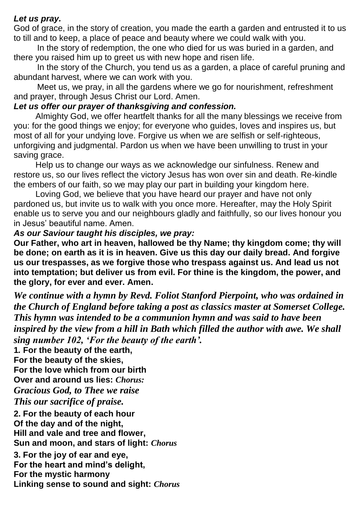#### *Let us pray.*

God of grace, in the story of creation, you made the earth a garden and entrusted it to us to till and to keep, a place of peace and beauty where we could walk with you.

 In the story of redemption, the one who died for us was buried in a garden, and there you raised him up to greet us with new hope and risen life.

 In the story of the Church, you tend us as a garden, a place of careful pruning and abundant harvest, where we can work with you.

 Meet us, we pray, in all the gardens where we go for nourishment, refreshment and prayer, through Jesus Christ our Lord. Amen.

#### *Let us offer our prayer of thanksgiving and confession.*

Almighty God, we offer heartfelt thanks for all the many blessings we receive from you: for the good things we enjoy; for everyone who guides, loves and inspires us, but most of all for your undying love. Forgive us when we are selfish or self-righteous, unforgiving and judgmental. Pardon us when we have been unwilling to trust in your saving grace.

Help us to change our ways as we acknowledge our sinfulness. Renew and restore us, so our lives reflect the victory Jesus has won over sin and death. Re-kindle the embers of our faith, so we may play our part in building your kingdom here.

Loving God, we believe that you have heard our prayer and have not only pardoned us, but invite us to walk with you once more. Hereafter, may the Holy Spirit enable us to serve you and our neighbours gladly and faithfully, so our lives honour you in Jesus' beautiful name. Amen.

## *As our Saviour taught his disciples, we pray:*

**Our Father, who art in heaven, hallowed be thy Name; thy kingdom come; thy will be done; on earth as it is in heaven. Give us this day our daily bread. And forgive us our trespasses, as we forgive those who trespass against us. And lead us not into temptation; but deliver us from evil. For thine is the kingdom, the power, and the glory, for ever and ever. Amen.**

*We continue with a hymn by Revd. Foliot Stanford Pierpoint, who was ordained in the Church of England before taking a post as classics master at Somerset College. This hymn was intended to be a communion hymn and was said to have been inspired by the view from a hill in Bath which filled the author with awe. We shall sing number 102, 'For the beauty of the earth'.*

**1***.* **For the beauty of the earth, For the beauty of the skies, For the love which from our birth Over and around us lies:** *Chorus: Gracious God, to Thee we raise This our sacrifice of praise.*

**2. For the beauty of each hour Of the day and of the night, Hill and vale and tree and flower, Sun and moon, and stars of light:** *Chorus*

**3. For the joy of ear and eye, For the heart and mind's delight, For the mystic harmony Linking sense to sound and sight:** *Chorus*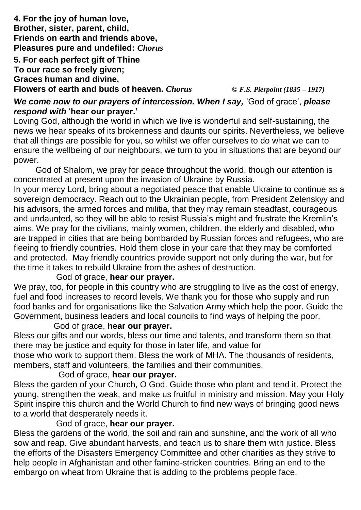**4. For the joy of human love, Brother, sister, parent, child, Friends on earth and friends above, Pleasures pure and undefiled:** *Chorus*

**5. For each perfect gift of Thine To our race so freely given; Graces human and divine, Flowers of earth and buds of heaven.** *Chorus © F.S. Pierpoint (1835 – 1917)*

# *We come now to our prayers of intercession. When I say,* 'God of grace', *please respond with* '**hear our prayer.'**

Loving God, although the world in which we live is wonderful and self-sustaining, the news we hear speaks of its brokenness and daunts our spirits. Nevertheless, we believe that all things are possible for you, so whilst we offer ourselves to do what we can to ensure the wellbeing of our neighbours, we turn to you in situations that are beyond our power.

God of Shalom, we pray for peace throughout the world, though our attention is concentrated at present upon the invasion of Ukraine by Russia.

In your mercy Lord, bring about a negotiated peace that enable Ukraine to continue as a sovereign democracy. Reach out to the Ukrainian people, from President Zelenskyy and his advisors, the armed forces and militia, that they may remain steadfast, courageous and undaunted, so they will be able to resist Russia's might and frustrate the Kremlin's aims. We pray for the civilians, mainly women, children, the elderly and disabled, who are trapped in cities that are being bombarded by Russian forces and refugees, who are fleeing to friendly countries. Hold them close in your care that they may be comforted and protected. May friendly countries provide support not only during the war, but for the time it takes to rebuild Ukraine from the ashes of destruction.

## God of grace, **hear our prayer.**

We pray, too, for people in this country who are struggling to live as the cost of energy, fuel and food increases to record levels. We thank you for those who supply and run food banks and for organisations like the Salvation Army which help the poor. Guide the Government, business leaders and local councils to find ways of helping the poor.

## God of grace, **hear our prayer.**

Bless our gifts and our words, bless our time and talents, and transform them so that there may be justice and equity for those in later life, and value for those who work to support them. Bless the work of MHA. The thousands of residents,

members, staff and volunteers, the families and their communities.

## God of grace, **hear our prayer.**

Bless the garden of your Church, O God. Guide those who plant and tend it. Protect the young, strengthen the weak, and make us fruitful in ministry and mission. May your Holy Spirit inspire this church and the World Church to find new ways of bringing good news to a world that desperately needs it.

## God of grace, **hear our prayer.**

Bless the gardens of the world, the soil and rain and sunshine, and the work of all who sow and reap. Give abundant harvests, and teach us to share them with justice. Bless the efforts of the Disasters Emergency Committee and other charities as they strive to help people in Afghanistan and other famine-stricken countries. Bring an end to the embargo on wheat from Ukraine that is adding to the problems people face.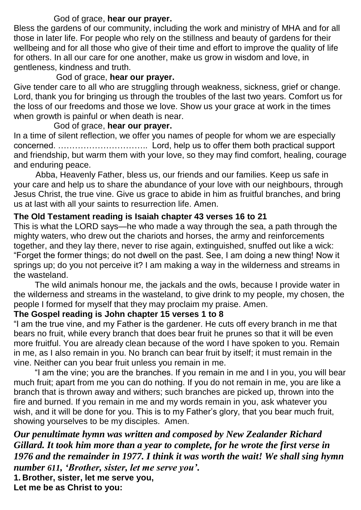#### God of grace, **hear our prayer.**

Bless the gardens of our community, including the work and ministry of MHA and for all those in later life. For people who rely on the stillness and beauty of gardens for their wellbeing and for all those who give of their time and effort to improve the quality of life for others. In all our care for one another, make us grow in wisdom and love, in gentleness, kindness and truth.

## God of grace, **hear our prayer.**

Give tender care to all who are struggling through weakness, sickness, grief or change. Lord, thank you for bringing us through the troubles of the last two years. Comfort us for the loss of our freedoms and those we love. Show us your grace at work in the times when growth is painful or when death is near.

#### God of grace, **hear our prayer.**

In a time of silent reflection, we offer you names of people for whom we are especially concerned. ………………………….. Lord, help us to offer them both practical support and friendship, but warm them with your love, so they may find comfort, healing, courage and enduring peace.

Abba, Heavenly Father, bless us, our friends and our families. Keep us safe in your care and help us to share the abundance of your love with our neighbours, through Jesus Christ, the true vine. Give us grace to abide in him as fruitful branches, and bring us at last with all your saints to resurrection life. Amen.

# **The Old Testament reading is Isaiah chapter 43 verses 16 to 21**

This is what the LORD says—he who made a way through the sea, a path through the mighty waters, who drew out the chariots and horses, the army and reinforcements together, and they lay there, never to rise again, extinguished, snuffed out like a wick: "Forget the former things; do not dwell on the past. See, I am doing a new thing! Now it springs up; do you not perceive it? I am making a way in the wilderness and streams in the wasteland.

 The wild animals honour me, the jackals and the owls, because I provide water in the wilderness and streams in the wasteland, to give drink to my people, my chosen, the people I formed for myself that they may proclaim my praise. Amen.

# **The Gospel reading is John chapter 15 verses 1 to 8**

"I am the true vine, and my Father is the gardener. He cuts off every branch in me that bears no fruit, while every branch that does bear fruit he prunes so that it will be even more fruitful. You are already clean because of the word I have spoken to you. Remain in me, as I also remain in you. No branch can bear fruit by itself; it must remain in the vine. Neither can you bear fruit unless you remain in me.

 "I am the vine; you are the branches. If you remain in me and I in you, you will bear much fruit; apart from me you can do nothing. If you do not remain in me, you are like a branch that is thrown away and withers; such branches are picked up, thrown into the fire and burned. If you remain in me and my words remain in you, ask whatever you wish, and it will be done for you. This is to my Father's glory, that you bear much fruit, showing yourselves to be my disciples. Amen.

*Our penultimate hymn was written and composed by New Zealander Richard Gillard. It took him more than a year to complete, for he wrote the first verse in 1976 and the remainder in 1977. I think it was worth the wait! We shall sing hymn number 611, 'Brother, sister, let me serve you'.*

**1. Brother, sister, let me serve you,**

**Let me be as Christ to you:**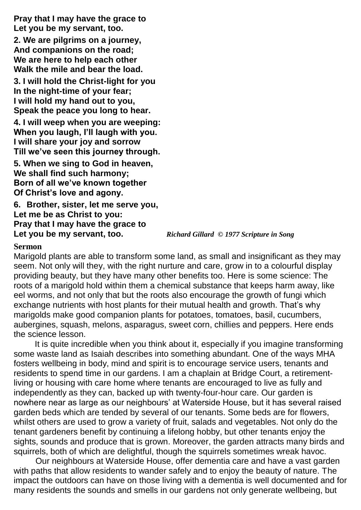**Pray that I may have the grace to Let you be my servant, too.**

**2. We are pilgrims on a journey, And companions on the road; We are here to help each other Walk the mile and bear the load.**

**3. I will hold the Christ-light for you In the night-time of your fear; I will hold my hand out to you, Speak the peace you long to hear.**

**4. I will weep when you are weeping: When you laugh, I'll laugh with you. I will share your joy and sorrow Till we've seen this journey through.**

**5. When we sing to God in heaven, We shall find such harmony; Born of all we've known together Of Christ's love and agony.**

**6. Brother, sister, let me serve you, Let me be as Christ to you: Pray that I may have the grace to Let you be my servant, too.** *Richard Gillard* **©** *1977 Scripture in Song*

#### **Sermon**

Marigold plants are able to transform some land, as small and insignificant as they may seem. Not only will they, with the right nurture and care, grow in to a colourful display providing beauty, but they have many other benefits too. Here is some science: The roots of a marigold hold within them a chemical substance that keeps harm away, like eel worms, and not only that but the roots also encourage the growth of fungi which exchange nutrients with host plants for their mutual health and growth. That's why marigolds make good companion plants for potatoes, tomatoes, basil, cucumbers, aubergines, squash, melons, asparagus, sweet corn, chillies and peppers. Here ends the science lesson.

 It is quite incredible when you think about it, especially if you imagine transforming some waste land as Isaiah describes into something abundant. One of the ways MHA fosters wellbeing in body, mind and spirit is to encourage service users, tenants and residents to spend time in our gardens. I am a chaplain at Bridge Court, a retirementliving or housing with care home where tenants are encouraged to live as fully and independently as they can, backed up with twenty-four-hour care. Our garden is nowhere near as large as our neighbours' at Waterside House, but it has several raised garden beds which are tended by several of our tenants. Some beds are for flowers, whilst others are used to grow a variety of fruit, salads and vegetables. Not only do the tenant gardeners benefit by continuing a lifelong hobby, but other tenants enjoy the sights, sounds and produce that is grown. Moreover, the garden attracts many birds and squirrels, both of which are delightful, though the squirrels sometimes wreak havoc.

Our neighbours at Waterside House, offer dementia care and have a vast garden with paths that allow residents to wander safely and to enjoy the beauty of nature. The impact the outdoors can have on those living with a dementia is well documented and for many residents the sounds and smells in our gardens not only generate wellbeing, but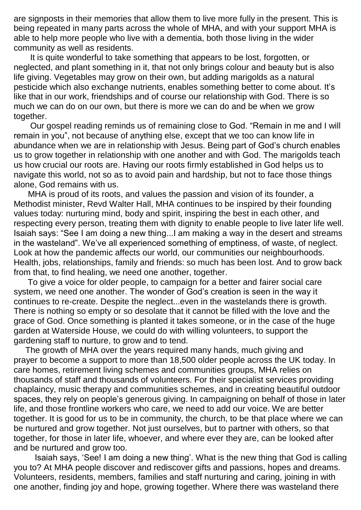are signposts in their memories that allow them to live more fully in the present. This is being repeated in many parts across the whole of MHA, and with your support MHA is able to help more people who live with a dementia, both those living in the wider community as well as residents.

 It is quite wonderful to take something that appears to be lost, forgotten, or neglected, and plant something in it, that not only brings colour and beauty but is also life giving. Vegetables may grow on their own, but adding marigolds as a natural pesticide which also exchange nutrients, enables something better to come about. It's like that in our work, friendships and of course our relationship with God. There is so much we can do on our own, but there is more we can do and be when we grow together.

 Our gospel reading reminds us of remaining close to God. "Remain in me and I will remain in you", not because of anything else, except that we too can know life in abundance when we are in relationship with Jesus. Being part of God's church enables us to grow together in relationship with one another and with God. The marigolds teach us how crucial our roots are. Having our roots firmly established in God helps us to navigate this world, not so as to avoid pain and hardship, but not to face those things alone, God remains with us.

 MHA is proud of its roots, and values the passion and vision of its founder, a Methodist minister, Revd Walter Hall, MHA continues to be inspired by their founding values today: nurturing mind, body and spirit, inspiring the best in each other, and respecting every person, treating them with dignity to enable people to live later life well. Isaiah says: "See I am doing a new thing...I am making a way in the desert and streams in the wasteland". We've all experienced something of emptiness, of waste, of neglect. Look at how the pandemic affects our world, our communities our neighbourhoods. Health, jobs, relationships, family and friends: so much has been lost. And to grow back from that, to find healing, we need one another, together.

 To give a voice for older people, to campaign for a better and fairer social care system, we need one another. The wonder of God's creation is seen in the way it continues to re-create. Despite the neglect...even in the wastelands there is growth. There is nothing so empty or so desolate that it cannot be filled with the love and the grace of God. Once something is planted it takes someone, or in the case of the huge garden at Waterside House, we could do with willing volunteers, to support the gardening staff to nurture, to grow and to tend.

 The growth of MHA over the years required many hands, much giving and prayer to become a support to more than 18,500 older people across the UK today. In care homes, retirement living schemes and communities groups, MHA relies on thousands of staff and thousands of volunteers. For their specialist services providing chaplaincy, music therapy and communities schemes, and in creating beautiful outdoor spaces, they rely on people's generous giving. In campaigning on behalf of those in later life, and those frontline workers who care, we need to add our voice. We are better together. It is good for us to be in community, the church, to be that place where we can be nurtured and grow together. Not just ourselves, but to partner with others, so that together, for those in later life, whoever, and where ever they are, can be looked after and be nurtured and grow too.

 Isaiah says, 'See! I am doing a new thing'. What is the new thing that God is calling you to? At MHA people discover and rediscover gifts and passions, hopes and dreams. Volunteers, residents, members, families and staff nurturing and caring, joining in with one another, finding joy and hope, growing together. Where there was wasteland there